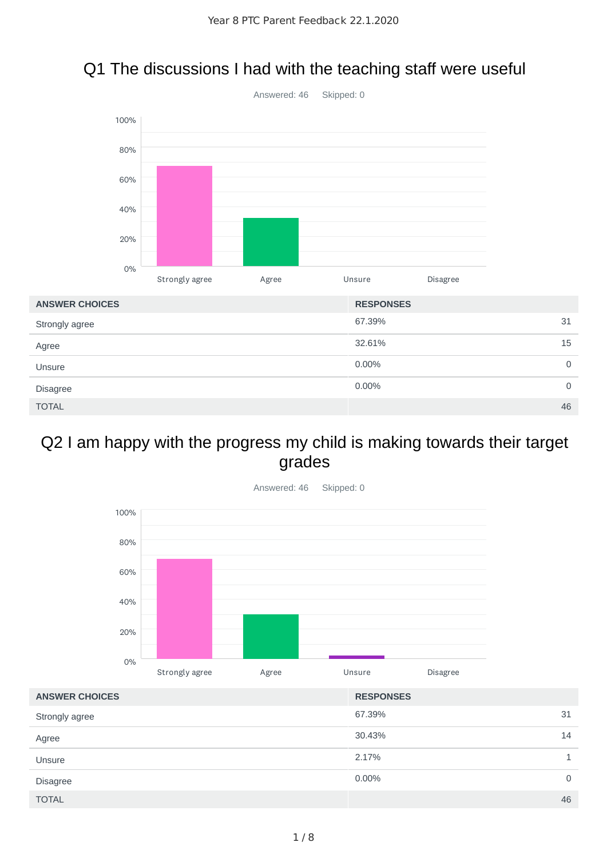



#### Q2 I am happy with the progress my child is making towards their target grades



| <b>ANSWER CHOICES</b> | <b>RESPONSES</b> |    |
|-----------------------|------------------|----|
| Strongly agree        | 67.39%           | 31 |
| Agree                 | 30.43%           | 14 |
| Unsure                | 2.17%            | 1  |
| <b>Disagree</b>       | 0.00%            | 0  |
| <b>TOTAL</b>          |                  | 46 |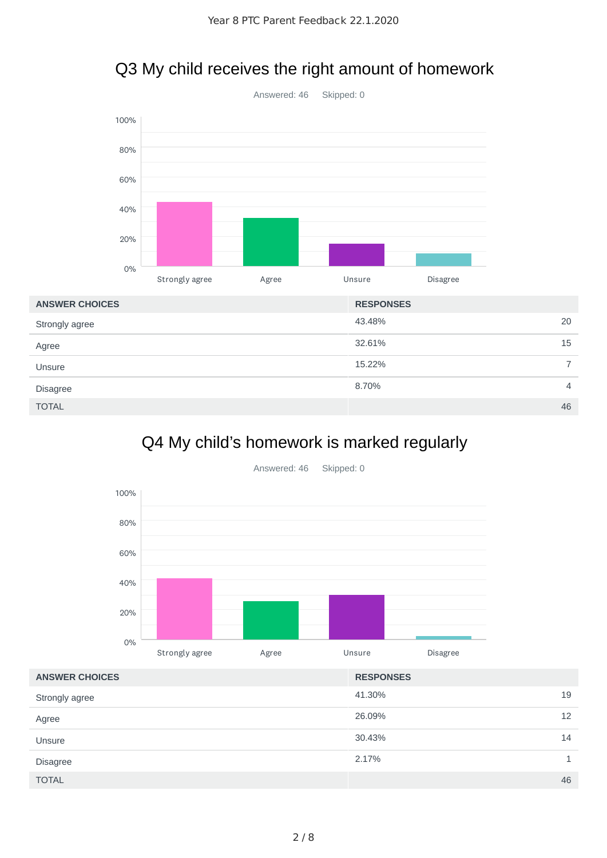

### Q3 My child receives the right amount of homework

| <b>ANSWER CHOICES</b> | <b>RESPONSES</b> |
|-----------------------|------------------|
| Strongly agree        | 43.48%<br>20     |
| Agree                 | 32.61%<br>15     |
| Unsure                | 15.22%           |
| <b>Disagree</b>       | 8.70%<br>4       |
| <b>TOTAL</b>          | 46               |

### Q4 My child's homework is marked regularly



41.30% 19 26.09% 12 30.43% 14 2.17% 1  $\blacksquare$  TOTAL  $\blacksquare$  . The set of the set of the set of the set of the set of the set of the set of the set of the set of the set of the set of the set of the set of the set of the set of the set of the set of the set of t **ANSWER CHOICES RESPONSES** Strongly agree Agree Unsure Disagree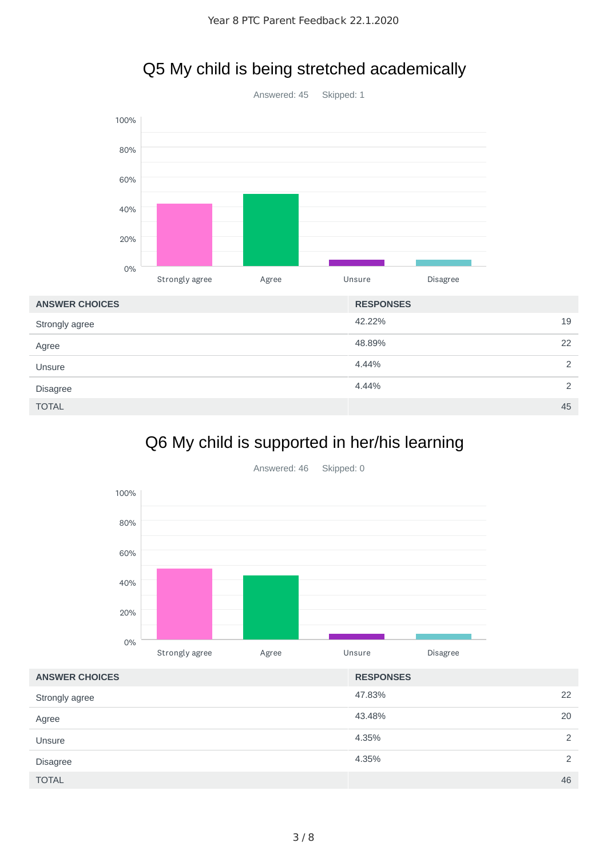

### Q5 My child is being stretched academically

| <b>ANSWER CHOICES</b> | <b>RESPONSES</b> |               |
|-----------------------|------------------|---------------|
| Strongly agree        | 42.22%           | 19            |
| Agree                 | 48.89%           | 22            |
| Unsure                | 4.44%            | $\mathcal{D}$ |
| <b>Disagree</b>       | 4.44%            | $\mathcal{L}$ |
| <b>TOTAL</b>          |                  | 45            |

# Q6 My child is supported in her/his learning



| <b>ANSWER CHOICES</b> | <b>RESPONSES</b> |    |
|-----------------------|------------------|----|
| Strongly agree        | 47.83%           | 22 |
| Agree                 | 43.48%           | 20 |
| Unsure                | 4.35%            | 2  |
| <b>Disagree</b>       | 4.35%            | 2  |
| <b>TOTAL</b>          |                  | 46 |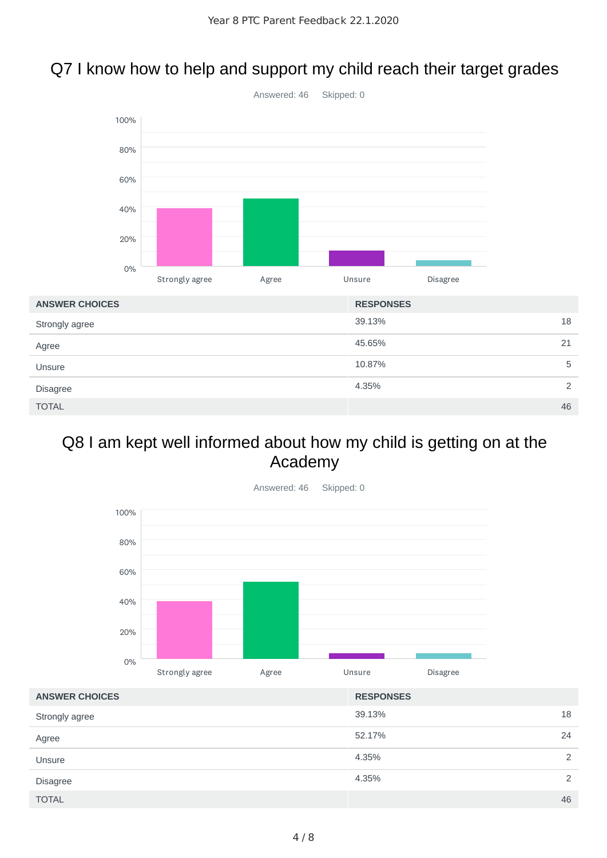### Q7 I know how to help and support my child reach their target grades



#### Q8 I am kept well informed about how my child is getting on at the Academy



| <b>ANSWER CHOICES</b> | <b>RESPONSES</b> |    |
|-----------------------|------------------|----|
| Strongly agree        | 39.13%           | 18 |
| Agree                 | 52.17%           | 24 |
| Unsure                | 4.35%            | 2  |
| <b>Disagree</b>       | 4.35%            | 2  |
| <b>TOTAL</b>          |                  | 46 |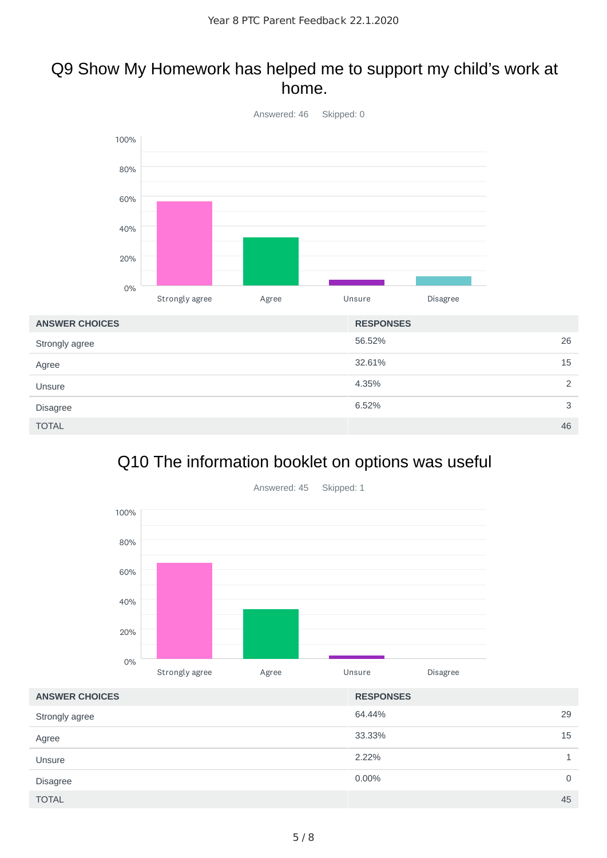#### Q9 Show My Homework has helped me to support my child's work at home.



# Q10 The information booklet on options was useful



| <b>ANSWER CHOICES</b> | <b>RESPONSES</b> |             |
|-----------------------|------------------|-------------|
| Strongly agree        | 64.44%           | 29          |
| Agree                 | 33.33%           | 15          |
| Unsure                | 2.22%            |             |
| <b>Disagree</b>       | 0.00%            | $\mathbf 0$ |
| <b>TOTAL</b>          |                  | 45          |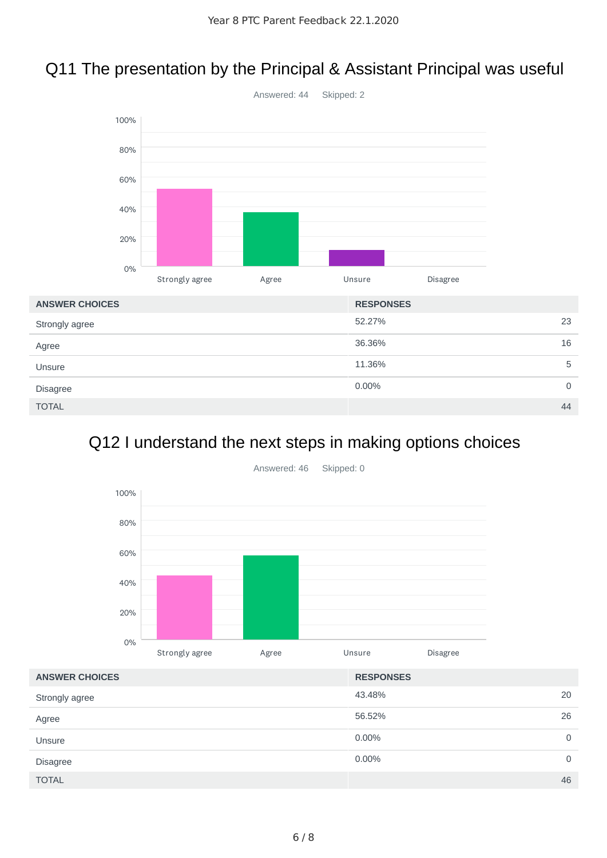### Q11 The presentation by the Principal & Assistant Principal was useful



# Q12 I understand the next steps in making options choices



| <b>ANSWER CHOICES</b> | <b>RESPONSES</b> |             |
|-----------------------|------------------|-------------|
| Strongly agree        | 43.48%           | 20          |
| Agree                 | 56.52%           | 26          |
| Unsure                | 0.00%            | $\mathbf 0$ |
| <b>Disagree</b>       | 0.00%            | $\mathbf 0$ |
| <b>TOTAL</b>          |                  | 46          |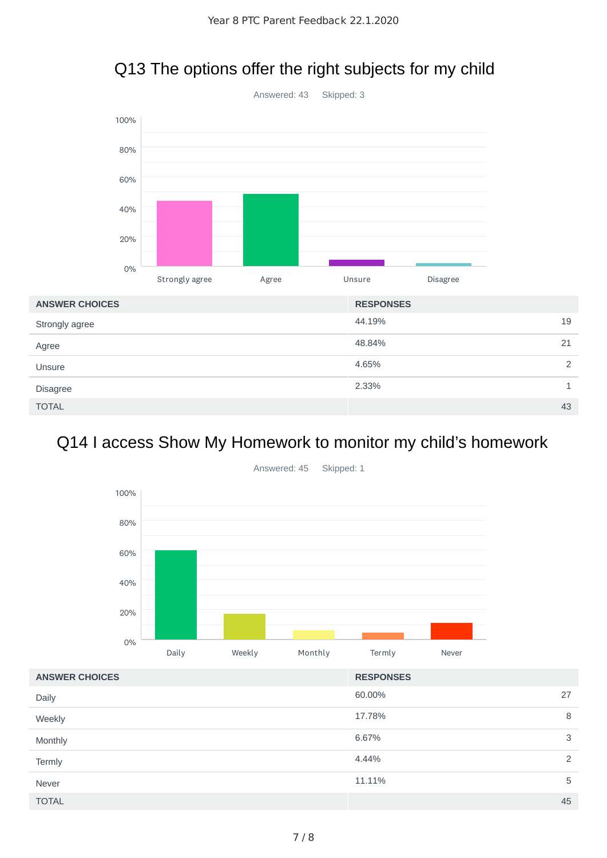

# Q13 The options offer the right subjects for my child

# Q14 I access Show My Homework to monitor my child's homework



| <b>ANSWER CHOICES</b> | <b>RESPONSES</b> |
|-----------------------|------------------|
| Daily                 | 60.00%<br>27     |
| Weekly                | 17.78%<br>8      |
| Monthly               | 6.67%<br>3       |
| Termly                | 4.44%<br>2       |
| Never                 | 11.11%<br>5      |
| <b>TOTAL</b>          | 45               |